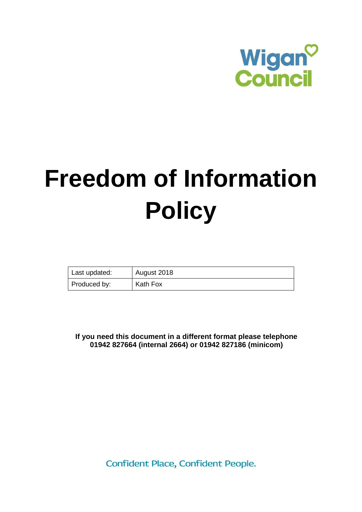

# **Freedom of Information Policy**

| Last updated: | August 2018 |
|---------------|-------------|
| Produced by:  | Kath Fox    |

**If you need this document in a different format please telephone 01942 827664 (internal 2664) or 01942 827186 (minicom)**

Confident Place, Confident People.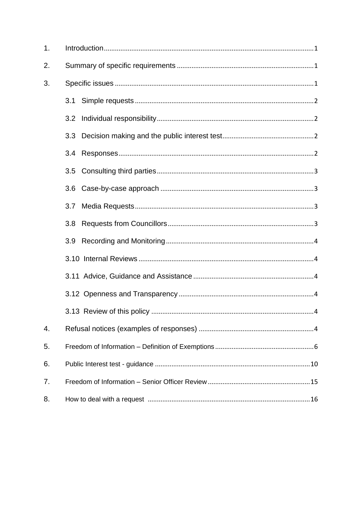| 1. |     |
|----|-----|
| 2. |     |
| 3. |     |
|    | 3.1 |
|    | 3.2 |
|    |     |
|    | 3.4 |
|    |     |
|    |     |
|    | 3.7 |
|    | 3.8 |
|    | 3.9 |
|    |     |
|    |     |
|    |     |
|    |     |
| 4. |     |
| 5. |     |
| 6. |     |
| 7. |     |
| 8. |     |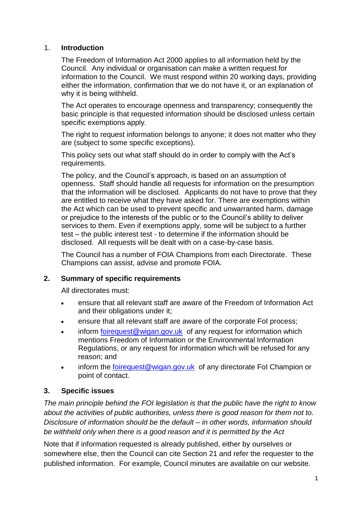#### <span id="page-2-0"></span>1. **Introduction**

The Freedom of Information Act 2000 applies to all information held by the Council. Any individual or organisation can make a written request for information to the Council. We must respond within 20 working days, providing either the information, confirmation that we do not have it, or an explanation of why it is being withheld.

The Act operates to encourage openness and transparency; consequently the basic principle is that requested information should be disclosed unless certain specific exemptions apply.

The right to request information belongs to anyone; it does not matter who they are (subject to some specific exceptions).

This policy sets out what staff should do in order to comply with the Act's requirements.

The policy, and the Council's approach, is based on an assumption of openness. Staff should handle all requests for information on the presumption that the information will be disclosed. Applicants do not have to prove that they are entitled to receive what they have asked for. There are exemptions within the Act which can be used to prevent specific and unwarranted harm, damage or prejudice to the interests of the public or to the Council's ability to deliver services to them. Even if exemptions apply, some will be subject to a further test – the public interest test - to determine if the information should be disclosed. All requests will be dealt with on a case-by-case basis.

The Council has a number of FOIA Champions from each Directorate. These Champions can assist, advise and promote FOIA.

#### <span id="page-2-1"></span>**2. Summary of specific requirements**

All directorates must:

- ensure that all relevant staff are aware of the Freedom of Information Act and their obligations under it;
- ensure that all relevant staff are aware of the corporate FoI process;
- inform [foirequest@wigan.gov.uk](mailto:foirequest@wigan.gov.uk) of any request for information which mentions Freedom of Information or the Environmental Information Regulations, or any request for information which will be refused for any reason; and
- <span id="page-2-2"></span>• inform the [foirequest@wigan.gov.uk](mailto:foirequest@wigan.gov.uk) of any directorate Fol Champion or point of contact.

#### **3. Specific issues**

*The main principle behind the FOI legislation is that the public have the right to know about the activities of public authorities, unless there is good reason for them not to. Disclosure of information should be the default – in other words, information should be withheld only when there is a good reason and it is permitted by the Act*

Note that if information requested is already published, either by ourselves or somewhere else, then the Council can cite Section 21 and refer the requester to the published information. For example, Council minutes are available on our website.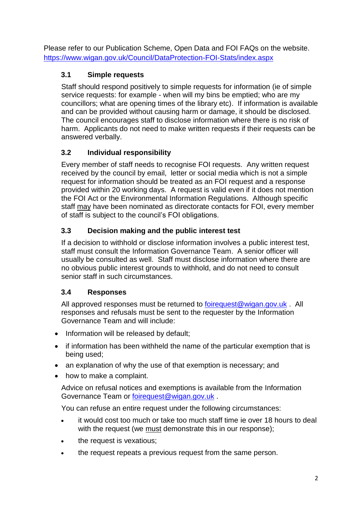Please refer to our Publication Scheme, Open Data and FOI FAQs on the website. <https://www.wigan.gov.uk/Council/DataProtection-FOI-Stats/index.aspx>

# <span id="page-3-0"></span>**3.1 Simple requests**

Staff should respond positively to simple requests for information (ie of simple service requests: for example - when will my bins be emptied; who are my councillors; what are opening times of the library etc). If information is available and can be provided without causing harm or damage, it should be disclosed. The council encourages staff to disclose information where there is no risk of harm. Applicants do not need to make written requests if their requests can be answered verbally.

# <span id="page-3-1"></span>**3.2 Individual responsibility**

Every member of staff needs to recognise FOI requests. Any written request received by the council by email, letter or social media which is not a simple request for information should be treated as an FOI request and a response provided within 20 working days. A request is valid even if it does not mention the FOI Act or the Environmental Information Regulations. Although specific staff may have been nominated as directorate contacts for FOI, every member of staff is subject to the council's FOI obligations.

## <span id="page-3-2"></span>**3.3 Decision making and the public interest test**

If a decision to withhold or disclose information involves a public interest test, staff must consult the Information Governance Team. A senior officer will usually be consulted as well. Staff must disclose information where there are no obvious public interest grounds to withhold, and do not need to consult senior staff in such circumstances.

## <span id="page-3-3"></span>**3.4 Responses**

All approved responses must be returned to [foirequest@wigan.gov.uk](mailto:foirequest@wigan.gov.uk). All responses and refusals must be sent to the requester by the Information Governance Team and will include:

- Information will be released by default;
- if information has been withheld the name of the particular exemption that is being used;
- an explanation of why the use of that exemption is necessary; and
- how to make a complaint.

Advice on refusal notices and exemptions is available from the Information Governance Team or [foirequest@wigan.gov.uk](mailto:foirequest@wigan.gov.uk) .

You can refuse an entire request under the following circumstances:

- it would cost too much or take too much staff time ie over 18 hours to deal with the request (we must demonstrate this in our response);
- the request is vexatious;
- the request repeats a previous request from the same person.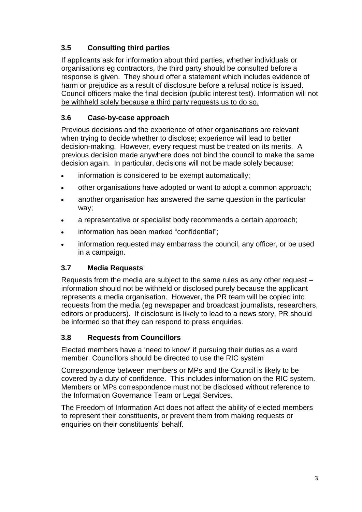# <span id="page-4-0"></span>**3.5 Consulting third parties**

If applicants ask for information about third parties, whether individuals or organisations eg contractors, the third party should be consulted before a response is given. They should offer a statement which includes evidence of harm or prejudice as a result of disclosure before a refusal notice is issued. Council officers make the final decision (public interest test). Information will not be withheld solely because a third party requests us to do so.

## <span id="page-4-1"></span>**3.6 Case-by-case approach**

Previous decisions and the experience of other organisations are relevant when trying to decide whether to disclose; experience will lead to better decision-making. However, every request must be treated on its merits. A previous decision made anywhere does not bind the council to make the same decision again. In particular, decisions will not be made solely because:

- information is considered to be exempt automatically;
- other organisations have adopted or want to adopt a common approach;
- another organisation has answered the same question in the particular way;
- a representative or specialist body recommends a certain approach;
- information has been marked "confidential";
- information requested may embarrass the council, any officer, or be used in a campaign.

## <span id="page-4-2"></span>**3.7 Media Requests**

Requests from the media are subject to the same rules as any other request – information should not be withheld or disclosed purely because the applicant represents a media organisation. However, the PR team will be copied into requests from the media (eg newspaper and broadcast journalists, researchers, editors or producers). If disclosure is likely to lead to a news story, PR should be informed so that they can respond to press enquiries.

## <span id="page-4-3"></span>**3.8 Requests from Councillors**

Elected members have a 'need to know' if pursuing their duties as a ward member. Councillors should be directed to use the RIC system

Correspondence between members or MPs and the Council is likely to be covered by a duty of confidence. This includes information on the RIC system. Members or MPs correspondence must not be disclosed without reference to the Information Governance Team or Legal Services.

The Freedom of Information Act does not affect the ability of elected members to represent their constituents, or prevent them from making requests or enquiries on their constituents' behalf.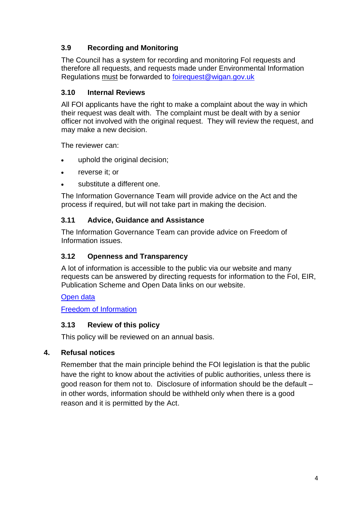## <span id="page-5-0"></span>**3.9 Recording and Monitoring**

The Council has a system for recording and monitoring FoI requests and therefore all requests, and requests made under Environmental Information Regulations must be forwarded to [foirequest@wigan.gov.uk](mailto:FOIRequest@wigan.gov.uk)

#### <span id="page-5-1"></span>**3.10 Internal Reviews**

All FOI applicants have the right to make a complaint about the way in which their request was dealt with. The complaint must be dealt with by a senior officer not involved with the original request. They will review the request, and may make a new decision.

The reviewer can:

- uphold the original decision;
- reverse it; or
- substitute a different one.

The Information Governance Team will provide advice on the Act and the process if required, but will not take part in making the decision.

#### <span id="page-5-2"></span>**3.11 Advice, Guidance and Assistance**

The Information Governance Team can provide advice on Freedom of Information issues.

#### <span id="page-5-3"></span>**3.12 Openness and Transparency**

A lot of information is accessible to the public via our website and many requests can be answered by directing requests for information to the FoI, EIR, Publication Scheme and Open Data links on our website.

#### [Open data](http://www.wigan.gov.uk/Council/DataProtection-FOI-Stats/Open-Data.aspx)

[Freedom of Information](http://www.wigan.gov.uk/Council/DataProtection-FOI-Stats/Freedom-of-Information.aspx)

#### <span id="page-5-4"></span>**3.13 Review of this policy**

This policy will be reviewed on an annual basis.

#### <span id="page-5-5"></span>**4. Refusal notices**

Remember that the main principle behind the FOI legislation is that the public have the right to know about the activities of public authorities, unless there is good reason for them not to. Disclosure of information should be the default – in other words, information should be withheld only when there is a good reason and it is permitted by the Act.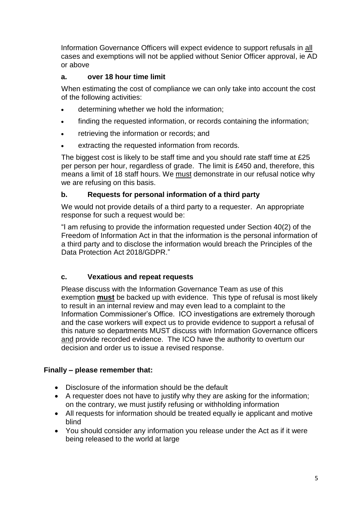Information Governance Officers will expect evidence to support refusals in all cases and exemptions will not be applied without Senior Officer approval, ie AD or above

#### **a. over 18 hour time limit**

When estimating the cost of compliance we can only take into account the cost of the following activities:

- determining whether we hold the information;
- finding the requested information, or records containing the information;
- retrieving the information or records; and
- extracting the requested information from records.

The biggest cost is likely to be staff time and you should rate staff time at £25 per person per hour, regardless of grade. The limit is £450 and, therefore, this means a limit of 18 staff hours. We must demonstrate in our refusal notice why we are refusing on this basis.

#### **b. Requests for personal information of a third party**

We would not provide details of a third party to a requester. An appropriate response for such a request would be:

"I am refusing to provide the information requested under Section 40(2) of the Freedom of Information Act in that the information is the personal information of a third party and to disclose the information would breach the Principles of the Data Protection Act 2018/GDPR."

#### **c. Vexatious and repeat requests**

Please discuss with the Information Governance Team as use of this exemption **must** be backed up with evidence. This type of refusal is most likely to result in an internal review and may even lead to a complaint to the Information Commissioner's Office. ICO investigations are extremely thorough and the case workers will expect us to provide evidence to support a refusal of this nature so departments MUST discuss with Information Governance officers and provide recorded evidence. The ICO have the authority to overturn our decision and order us to issue a revised response.

## **Finally – please remember that:**

- Disclosure of the information should be the default
- A requester does not have to justify why they are asking for the information: on the contrary, we must justify refusing or withholding information
- All requests for information should be treated equally ie applicant and motive blind
- You should consider any information you release under the Act as if it were being released to the world at large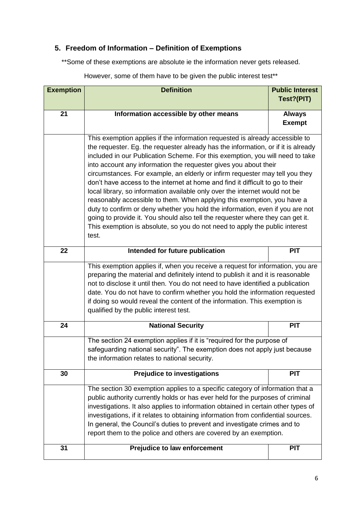# <span id="page-7-0"></span>**5. Freedom of Information – Definition of Exemptions**

\*\*Some of these exemptions are absolute ie the information never gets released.

| <b>Exemption</b> | <b>Definition</b>                                                                                                                                                                                                                                                                                                                                                                                                                                                                                                                                                                                                                                                                                                                                                                                                                                                                                             | <b>Public Interest</b><br>Test?(PIT) |
|------------------|---------------------------------------------------------------------------------------------------------------------------------------------------------------------------------------------------------------------------------------------------------------------------------------------------------------------------------------------------------------------------------------------------------------------------------------------------------------------------------------------------------------------------------------------------------------------------------------------------------------------------------------------------------------------------------------------------------------------------------------------------------------------------------------------------------------------------------------------------------------------------------------------------------------|--------------------------------------|
| $\overline{21}$  | Information accessible by other means                                                                                                                                                                                                                                                                                                                                                                                                                                                                                                                                                                                                                                                                                                                                                                                                                                                                         | <b>Always</b><br><b>Exempt</b>       |
|                  | This exemption applies if the information requested is already accessible to<br>the requester. Eg. the requester already has the information, or if it is already<br>included in our Publication Scheme. For this exemption, you will need to take<br>into account any information the requester gives you about their<br>circumstances. For example, an elderly or infirm requester may tell you they<br>don't have access to the internet at home and find it difficult to go to their<br>local library, so information available only over the internet would not be<br>reasonably accessible to them. When applying this exemption, you have a<br>duty to confirm or deny whether you hold the information, even if you are not<br>going to provide it. You should also tell the requester where they can get it.<br>This exemption is absolute, so you do not need to apply the public interest<br>test. |                                      |
| 22               | Intended for future publication                                                                                                                                                                                                                                                                                                                                                                                                                                                                                                                                                                                                                                                                                                                                                                                                                                                                               | <b>PIT</b>                           |
|                  | This exemption applies if, when you receive a request for information, you are<br>preparing the material and definitely intend to publish it and it is reasonable<br>not to disclose it until then. You do not need to have identified a publication<br>date. You do not have to confirm whether you hold the information requested<br>if doing so would reveal the content of the information. This exemption is<br>qualified by the public interest test.                                                                                                                                                                                                                                                                                                                                                                                                                                                   |                                      |
| 24               | <b>National Security</b>                                                                                                                                                                                                                                                                                                                                                                                                                                                                                                                                                                                                                                                                                                                                                                                                                                                                                      | <b>PIT</b>                           |
|                  | The section 24 exemption applies if it is "required for the purpose of<br>safeguarding national security". The exemption does not apply just because<br>the information relates to national security.                                                                                                                                                                                                                                                                                                                                                                                                                                                                                                                                                                                                                                                                                                         |                                      |
| 30               | <b>Prejudice to investigations</b>                                                                                                                                                                                                                                                                                                                                                                                                                                                                                                                                                                                                                                                                                                                                                                                                                                                                            | <b>PIT</b>                           |
|                  | The section 30 exemption applies to a specific category of information that a<br>public authority currently holds or has ever held for the purposes of criminal<br>investigations. It also applies to information obtained in certain other types of<br>investigations, if it relates to obtaining information from confidential sources.<br>In general, the Council's duties to prevent and investigate crimes and to<br>report them to the police and others are covered by an exemption.                                                                                                                                                                                                                                                                                                                                                                                                                   |                                      |
| 31               | <b>Prejudice to law enforcement</b>                                                                                                                                                                                                                                                                                                                                                                                                                                                                                                                                                                                                                                                                                                                                                                                                                                                                           | <b>PIT</b>                           |

However, some of them have to be given the public interest test\*\*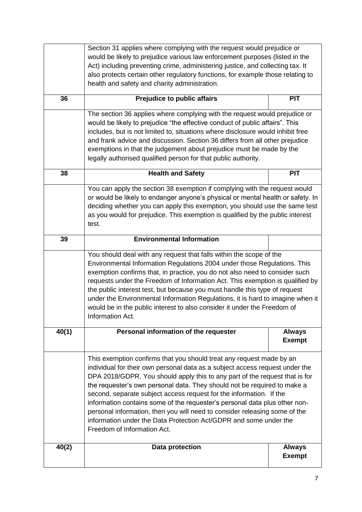|       | Section 31 applies where complying with the request would prejudice or                                                                                      |               |
|-------|-------------------------------------------------------------------------------------------------------------------------------------------------------------|---------------|
|       | would be likely to prejudice various law enforcement purposes (listed in the                                                                                |               |
|       | Act) including preventing crime, administering justice, and collecting tax. It                                                                              |               |
|       | also protects certain other regulatory functions, for example those relating to                                                                             |               |
|       | health and safety and charity administration.                                                                                                               |               |
| 36    | <b>Prejudice to public affairs</b>                                                                                                                          | <b>PIT</b>    |
|       | The section 36 applies where complying with the request would prejudice or                                                                                  |               |
|       | would be likely to prejudice "the effective conduct of public affairs". This                                                                                |               |
|       | includes, but is not limited to, situations where disclosure would inhibit free                                                                             |               |
|       | and frank advice and discussion. Section 36 differs from all other prejudice                                                                                |               |
|       | exemptions in that the judgement about prejudice must be made by the                                                                                        |               |
|       | legally authorised qualified person for that public authority.                                                                                              |               |
| 38    | <b>Health and Safety</b>                                                                                                                                    | <b>PIT</b>    |
|       | You can apply the section 38 exemption if complying with the request would                                                                                  |               |
|       | or would be likely to endanger anyone's physical or mental health or safety. In                                                                             |               |
|       | deciding whether you can apply this exemption, you should use the same test                                                                                 |               |
|       | as you would for prejudice. This exemption is qualified by the public interest                                                                              |               |
|       | test.                                                                                                                                                       |               |
| 39    | <b>Environmental Information</b>                                                                                                                            |               |
|       | You should deal with any request that falls within the scope of the                                                                                         |               |
|       | Environmental Information Regulations 2004 under those Regulations. This                                                                                    |               |
|       | exemption confirms that, in practice, you do not also need to consider such                                                                                 |               |
|       | requests under the Freedom of Information Act. This exemption is qualified by                                                                               |               |
|       | the public interest test, but because you must handle this type of request                                                                                  |               |
|       | under the Environmental Information Regulations, it is hard to imagine when it                                                                              |               |
|       | would be in the public interest to also consider it under the Freedom of                                                                                    |               |
|       | Information Act.                                                                                                                                            |               |
| 40(1) | Personal information of the requester                                                                                                                       | <b>Always</b> |
|       |                                                                                                                                                             | <b>Exempt</b> |
|       |                                                                                                                                                             |               |
|       | This exemption confirms that you should treat any request made by an                                                                                        |               |
|       | individual for their own personal data as a subject access request under the<br>DPA 2018/GDPR. You should apply this to any part of the request that is for |               |
|       | the requester's own personal data. They should not be required to make a                                                                                    |               |
|       | second, separate subject access request for the information. If the                                                                                         |               |
|       | information contains some of the requester's personal data plus other non-                                                                                  |               |
|       | personal information, then you will need to consider releasing some of the                                                                                  |               |
|       | information under the Data Protection Act/GDPR and some under the                                                                                           |               |
|       | Freedom of Information Act.                                                                                                                                 |               |
| 40(2) | Data protection                                                                                                                                             | <b>Always</b> |
|       |                                                                                                                                                             | <b>Exempt</b> |
|       |                                                                                                                                                             |               |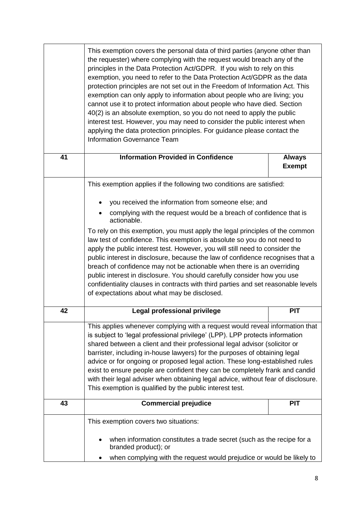|    | This exemption covers the personal data of third parties (anyone other than<br>the requester) where complying with the request would breach any of the<br>principles in the Data Protection Act/GDPR. If you wish to rely on this<br>exemption, you need to refer to the Data Protection Act/GDPR as the data<br>protection principles are not set out in the Freedom of Information Act. This<br>exemption can only apply to information about people who are living; you<br>cannot use it to protect information about people who have died. Section<br>40(2) is an absolute exemption, so you do not need to apply the public<br>interest test. However, you may need to consider the public interest when<br>applying the data protection principles. For guidance please contact the<br><b>Information Governance Team</b> |                                |
|----|---------------------------------------------------------------------------------------------------------------------------------------------------------------------------------------------------------------------------------------------------------------------------------------------------------------------------------------------------------------------------------------------------------------------------------------------------------------------------------------------------------------------------------------------------------------------------------------------------------------------------------------------------------------------------------------------------------------------------------------------------------------------------------------------------------------------------------|--------------------------------|
| 41 | <b>Information Provided in Confidence</b>                                                                                                                                                                                                                                                                                                                                                                                                                                                                                                                                                                                                                                                                                                                                                                                       | <b>Always</b><br><b>Exempt</b> |
|    | This exemption applies if the following two conditions are satisfied:                                                                                                                                                                                                                                                                                                                                                                                                                                                                                                                                                                                                                                                                                                                                                           |                                |
|    | you received the information from someone else; and                                                                                                                                                                                                                                                                                                                                                                                                                                                                                                                                                                                                                                                                                                                                                                             |                                |
|    | complying with the request would be a breach of confidence that is<br>actionable.                                                                                                                                                                                                                                                                                                                                                                                                                                                                                                                                                                                                                                                                                                                                               |                                |
|    | To rely on this exemption, you must apply the legal principles of the common<br>law test of confidence. This exemption is absolute so you do not need to<br>apply the public interest test. However, you will still need to consider the<br>public interest in disclosure, because the law of confidence recognises that a<br>breach of confidence may not be actionable when there is an overriding<br>public interest in disclosure. You should carefully consider how you use<br>confidentiality clauses in contracts with third parties and set reasonable levels<br>of expectations about what may be disclosed.                                                                                                                                                                                                           |                                |
| 42 | Legal professional privilege                                                                                                                                                                                                                                                                                                                                                                                                                                                                                                                                                                                                                                                                                                                                                                                                    | <b>PIT</b>                     |
|    | This applies whenever complying with a request would reveal information that<br>is subject to 'legal professional privilege' (LPP). LPP protects information<br>shared between a client and their professional legal advisor (solicitor or<br>barrister, including in-house lawyers) for the purposes of obtaining legal<br>advice or for ongoing or proposed legal action. These long-established rules<br>exist to ensure people are confident they can be completely frank and candid<br>with their legal adviser when obtaining legal advice, without fear of disclosure.<br>This exemption is qualified by the public interest test.                                                                                                                                                                                       |                                |
| 43 | <b>Commercial prejudice</b>                                                                                                                                                                                                                                                                                                                                                                                                                                                                                                                                                                                                                                                                                                                                                                                                     | <b>PIT</b>                     |
|    | This exemption covers two situations:                                                                                                                                                                                                                                                                                                                                                                                                                                                                                                                                                                                                                                                                                                                                                                                           |                                |
|    | when information constitutes a trade secret (such as the recipe for a<br>branded product); or                                                                                                                                                                                                                                                                                                                                                                                                                                                                                                                                                                                                                                                                                                                                   |                                |
|    | when complying with the request would prejudice or would be likely to                                                                                                                                                                                                                                                                                                                                                                                                                                                                                                                                                                                                                                                                                                                                                           |                                |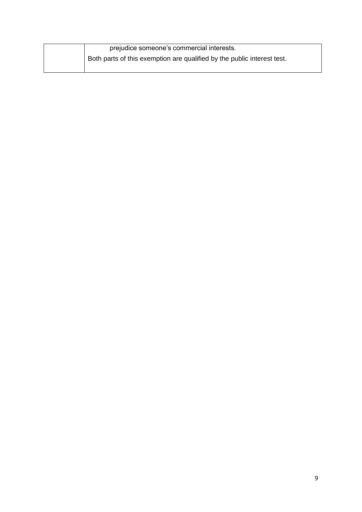| prejudice someone's commercial interests.                               |
|-------------------------------------------------------------------------|
| Both parts of this exemption are qualified by the public interest test. |
|                                                                         |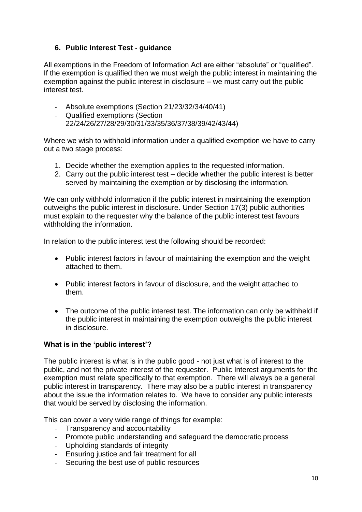#### <span id="page-11-0"></span>**6. Public Interest Test - guidance**

All exemptions in the Freedom of Information Act are either "absolute" or "qualified". If the exemption is qualified then we must weigh the public interest in maintaining the exemption against the public interest in disclosure – we must carry out the public interest test.

- Absolute exemptions (Section 21/23/32/34/40/41)
- Qualified exemptions (Section 22/24/26/27/28/29/30/31/33/35/36/37/38/39/42/43/44)

Where we wish to withhold information under a qualified exemption we have to carry out a two stage process:

- 1. Decide whether the exemption applies to the requested information.
- 2. Carry out the public interest test decide whether the public interest is better served by maintaining the exemption or by disclosing the information.

We can only withhold information if the public interest in maintaining the exemption outweighs the public interest in disclosure. Under Section 17(3) public authorities must explain to the requester why the balance of the public interest test favours withholding the information.

In relation to the public interest test the following should be recorded:

- Public interest factors in favour of maintaining the exemption and the weight attached to them.
- Public interest factors in favour of disclosure, and the weight attached to them.
- The outcome of the public interest test. The information can only be withheld if the public interest in maintaining the exemption outweighs the public interest in disclosure.

#### **What is in the 'public interest'?**

The public interest is what is in the public good - not just what is of interest to the public, and not the private interest of the requester. Public Interest arguments for the exemption must relate specifically to that exemption. There will always be a general public interest in transparency. There may also be a public interest in transparency about the issue the information relates to. We have to consider any public interests that would be served by disclosing the information.

This can cover a very wide range of things for example:

- Transparency and accountability
- Promote public understanding and safeguard the democratic process
- Upholding standards of integrity
- Ensuring justice and fair treatment for all
- Securing the best use of public resources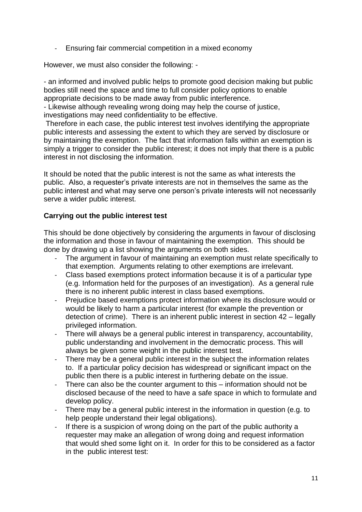- Ensuring fair commercial competition in a mixed economy

However, we must also consider the following: -

- an informed and involved public helps to promote good decision making but public bodies still need the space and time to full consider policy options to enable appropriate decisions to be made away from public interference.

- Likewise although revealing wrong doing may help the course of justice, investigations may need confidentiality to be effective.

Therefore in each case, the public interest test involves identifying the appropriate public interests and assessing the extent to which they are served by disclosure or by maintaining the exemption. The fact that information falls within an exemption is simply a trigger to consider the public interest; it does not imply that there is a public interest in not disclosing the information.

It should be noted that the public interest is not the same as what interests the public. Also, a requester's private interests are not in themselves the same as the public interest and what may serve one person's private interests will not necessarily serve a wider public interest.

#### **Carrying out the public interest test**

This should be done objectively by considering the arguments in favour of disclosing the information and those in favour of maintaining the exemption. This should be done by drawing up a list showing the arguments on both sides.

- The argument in favour of maintaining an exemption must relate specifically to that exemption. Arguments relating to other exemptions are irrelevant.
- Class based exemptions protect information because it is of a particular type (e.g. Information held for the purposes of an investigation). As a general rule there is no inherent public interest in class based exemptions.
- Prejudice based exemptions protect information where its disclosure would or would be likely to harm a particular interest (for example the prevention or detection of crime). There is an inherent public interest in section 42 – legally privileged information.
- There will always be a general public interest in transparency, accountability, public understanding and involvement in the democratic process. This will always be given some weight in the public interest test.
- There may be a general public interest in the subject the information relates to. If a particular policy decision has widespread or significant impact on the public then there is a public interest in furthering debate on the issue.
- There can also be the counter argument to this information should not be disclosed because of the need to have a safe space in which to formulate and develop policy.
- There may be a general public interest in the information in question (e.g. to help people understand their legal obligations).
- If there is a suspicion of wrong doing on the part of the public authority a requester may make an allegation of wrong doing and request information that would shed some light on it. In order for this to be considered as a factor in the public interest test: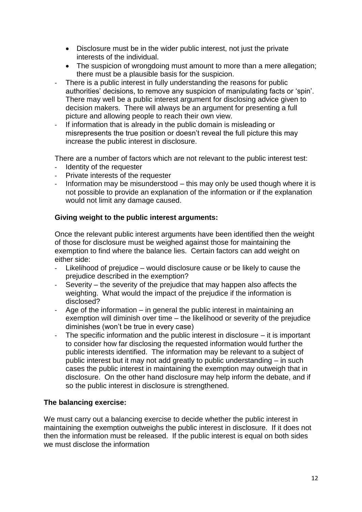- Disclosure must be in the wider public interest, not just the private interests of the individual.
- The suspicion of wrongdoing must amount to more than a mere allegation; there must be a plausible basis for the suspicion.
- There is a public interest in fully understanding the reasons for public authorities' decisions, to remove any suspicion of manipulating facts or 'spin'. There may well be a public interest argument for disclosing advice given to decision makers. There will always be an argument for presenting a full picture and allowing people to reach their own view.
- If information that is already in the public domain is misleading or misrepresents the true position or doesn't reveal the full picture this may increase the public interest in disclosure.

There are a number of factors which are not relevant to the public interest test:

- Identity of the requester
- Private interests of the requester<br>- Information may be misunderstod
- Information may be misunderstood  $-$  this may only be used though where it is not possible to provide an explanation of the information or if the explanation would not limit any damage caused.

#### **Giving weight to the public interest arguments:**

Once the relevant public interest arguments have been identified then the weight of those for disclosure must be weighed against those for maintaining the exemption to find where the balance lies. Certain factors can add weight on either side:

- Likelihood of prejudice would disclosure cause or be likely to cause the prejudice described in the exemption?
- Severity the severity of the prejudice that may happen also affects the weighting. What would the impact of the prejudice if the information is disclosed?
- Age of the information in general the public interest in maintaining an exemption will diminish over time – the likelihood or severity of the prejudice diminishes (won't be true in every case)
- The specific information and the public interest in disclosure  $-$  it is important to consider how far disclosing the requested information would further the public interests identified. The information may be relevant to a subject of public interest but it may not add greatly to public understanding – in such cases the public interest in maintaining the exemption may outweigh that in disclosure. On the other hand disclosure may help inform the debate, and if so the public interest in disclosure is strengthened.

#### **The balancing exercise:**

We must carry out a balancing exercise to decide whether the public interest in maintaining the exemption outweighs the public interest in disclosure. If it does not then the information must be released. If the public interest is equal on both sides we must disclose the information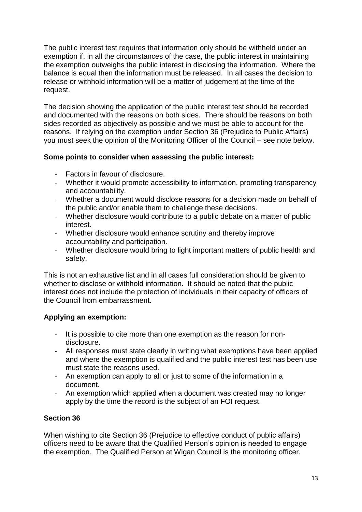The public interest test requires that information only should be withheld under an exemption if, in all the circumstances of the case, the public interest in maintaining the exemption outweighs the public interest in disclosing the information. Where the balance is equal then the information must be released. In all cases the decision to release or withhold information will be a matter of judgement at the time of the request.

The decision showing the application of the public interest test should be recorded and documented with the reasons on both sides. There should be reasons on both sides recorded as objectively as possible and we must be able to account for the reasons. If relying on the exemption under Section 36 (Prejudice to Public Affairs) you must seek the opinion of the Monitoring Officer of the Council – see note below.

#### **Some points to consider when assessing the public interest:**

- Factors in favour of disclosure.
- Whether it would promote accessibility to information, promoting transparency and accountability.
- Whether a document would disclose reasons for a decision made on behalf of the public and/or enable them to challenge these decisions.
- Whether disclosure would contribute to a public debate on a matter of public interest.
- Whether disclosure would enhance scrutiny and thereby improve accountability and participation.
- Whether disclosure would bring to light important matters of public health and safety.

This is not an exhaustive list and in all cases full consideration should be given to whether to disclose or withhold information. It should be noted that the public interest does not include the protection of individuals in their capacity of officers of the Council from embarrassment.

## **Applying an exemption:**

- It is possible to cite more than one exemption as the reason for nondisclosure.
- All responses must state clearly in writing what exemptions have been applied and where the exemption is qualified and the public interest test has been use must state the reasons used.
- An exemption can apply to all or just to some of the information in a document.
- An exemption which applied when a document was created may no longer apply by the time the record is the subject of an FOI request.

## **Section 36**

When wishing to cite Section 36 (Prejudice to effective conduct of public affairs) officers need to be aware that the Qualified Person's opinion is needed to engage the exemption. The Qualified Person at Wigan Council is the monitoring officer.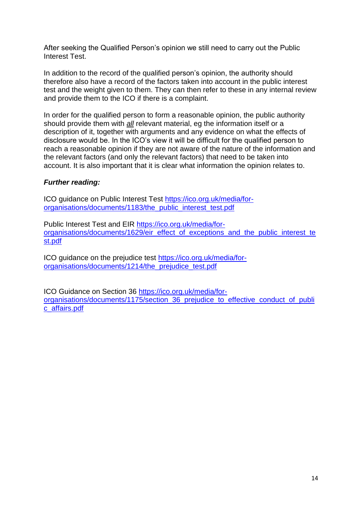After seeking the Qualified Person's opinion we still need to carry out the Public Interest Test.

In addition to the record of the qualified person's opinion, the authority should therefore also have a record of the factors taken into account in the public interest test and the weight given to them. They can then refer to these in any internal review and provide them to the ICO if there is a complaint.

In order for the qualified person to form a reasonable opinion, the public authority should provide them with *all* relevant material, eg the information itself or a description of it, together with arguments and any evidence on what the effects of disclosure would be. In the ICO's view it will be difficult for the qualified person to reach a reasonable opinion if they are not aware of the nature of the information and the relevant factors (and only the relevant factors) that need to be taken into account. It is also important that it is clear what information the opinion relates to.

#### *Further reading:*

ICO guidance on Public Interest Test [https://ico.org.uk/media/for](https://ico.org.uk/media/for-organisations/documents/1183/the_public_interest_test.pdf)[organisations/documents/1183/the\\_public\\_interest\\_test.pdf](https://ico.org.uk/media/for-organisations/documents/1183/the_public_interest_test.pdf)

Public Interest Test and EIR [https://ico.org.uk/media/for](https://ico.org.uk/media/for-organisations/documents/1629/eir_effect_of_exceptions_and_the_public_interest_test.pdf)[organisations/documents/1629/eir\\_effect\\_of\\_exceptions\\_and\\_the\\_public\\_interest\\_te](https://ico.org.uk/media/for-organisations/documents/1629/eir_effect_of_exceptions_and_the_public_interest_test.pdf) [st.pdf](https://ico.org.uk/media/for-organisations/documents/1629/eir_effect_of_exceptions_and_the_public_interest_test.pdf)

ICO guidance on the prejudice test [https://ico.org.uk/media/for](https://ico.org.uk/media/for-organisations/documents/1214/the_prejudice_test.pdf)[organisations/documents/1214/the\\_prejudice\\_test.pdf](https://ico.org.uk/media/for-organisations/documents/1214/the_prejudice_test.pdf)

ICO Guidance on Section 36 [https://ico.org.uk/media/for](https://ico.org.uk/media/for-organisations/documents/1175/section_36_prejudice_to_effective_conduct_of_public_affairs.pdf)[organisations/documents/1175/section\\_36\\_prejudice\\_to\\_effective\\_conduct\\_of\\_publi](https://ico.org.uk/media/for-organisations/documents/1175/section_36_prejudice_to_effective_conduct_of_public_affairs.pdf) [c\\_affairs.pdf](https://ico.org.uk/media/for-organisations/documents/1175/section_36_prejudice_to_effective_conduct_of_public_affairs.pdf)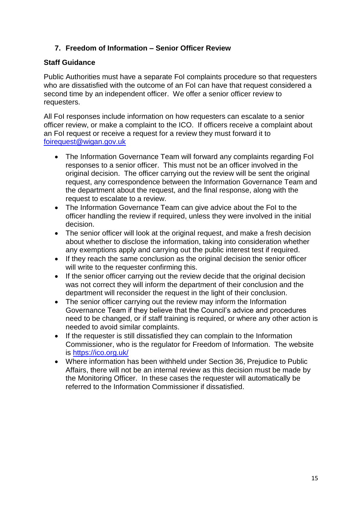#### <span id="page-16-0"></span>**7. Freedom of Information – Senior Officer Review**

#### **Staff Guidance**

Public Authorities must have a separate FoI complaints procedure so that requesters who are dissatisfied with the outcome of an FoI can have that request considered a second time by an independent officer. We offer a senior officer review to requesters.

All FoI responses include information on how requesters can escalate to a senior officer review, or make a complaint to the ICO. If officers receive a complaint about an FoI request or receive a request for a review they must forward it to [foirequest@wigan.gov.uk](mailto:foirequest@wigan.gov.uk)

- The Information Governance Team will forward any complaints regarding Fol responses to a senior officer. This must not be an officer involved in the original decision. The officer carrying out the review will be sent the original request, any correspondence between the Information Governance Team and the department about the request, and the final response, along with the request to escalate to a review.
- The Information Governance Team can give advice about the FoI to the officer handling the review if required, unless they were involved in the initial decision.
- The senior officer will look at the original request, and make a fresh decision about whether to disclose the information, taking into consideration whether any exemptions apply and carrying out the public interest test if required.
- If they reach the same conclusion as the original decision the senior officer will write to the requester confirming this.
- If the senior officer carrying out the review decide that the original decision was not correct they will inform the department of their conclusion and the department will reconsider the request in the light of their conclusion.
- The senior officer carrying out the review may inform the Information Governance Team if they believe that the Council's advice and procedures need to be changed, or if staff training is required, or where any other action is needed to avoid similar complaints.
- If the requester is still dissatisfied they can complain to the Information Commissioner, who is the regulator for Freedom of Information. The website is<https://ico.org.uk/>
- Where information has been withheld under Section 36, Prejudice to Public Affairs, there will not be an internal review as this decision must be made by the Monitoring Officer. In these cases the requester will automatically be referred to the Information Commissioner if dissatisfied.